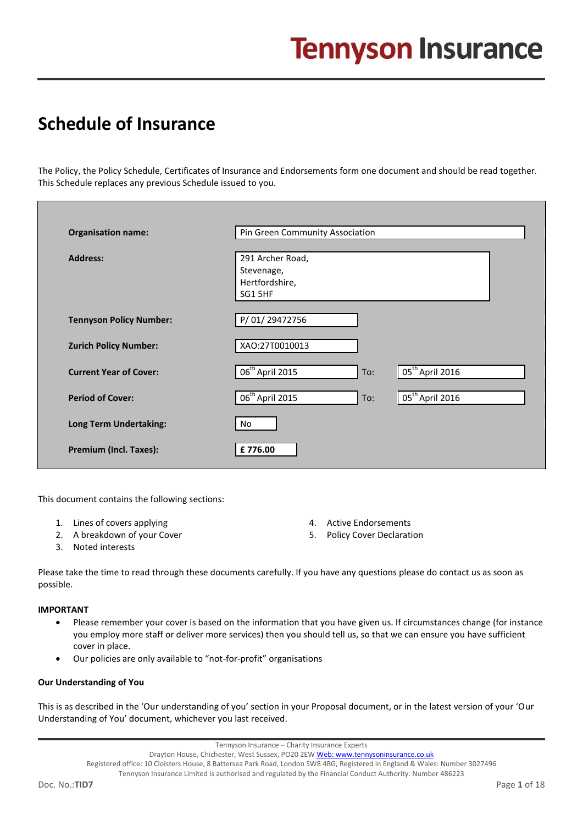## **Schedule of Insurance**

The Policy, the Policy Schedule, Certificates of Insurance and Endorsements form one document and should be read together. This Schedule replaces any previous Schedule issued to you.

| <b>Organisation name:</b>      | Pin Green Community Association                                              |
|--------------------------------|------------------------------------------------------------------------------|
| <b>Address:</b>                | 291 Archer Road,<br>Stevenage,<br>Hertfordshire,<br>SG1 5HF                  |
| <b>Tennyson Policy Number:</b> | P/01/29472756                                                                |
| <b>Zurich Policy Number:</b>   | XAO:27T0010013                                                               |
| <b>Current Year of Cover:</b>  | $\overline{06}^{\text{th}}$ April 2015<br>05 <sup>th</sup> April 2016<br>To: |
| <b>Period of Cover:</b>        | 06 <sup>th</sup> April 2015<br>$\int$ 05 <sup>th</sup> April 2016<br>To:     |
| <b>Long Term Undertaking:</b>  | No                                                                           |
| Premium (Incl. Taxes):         | £776.00                                                                      |

This document contains the following sections:

- 1. Lines of covers applying
- 2. A breakdown of your Cover
- 3. Noted interests
- 4. Active Endorsements
- 5. Policy Cover Declaration

Please take the time to read through these documents carefully. If you have any questions please do contact us as soon as possible.

#### **IMPORTANT**

- Please remember your cover is based on the information that you have given us. If circumstances change (for instance you employ more staff or deliver more services) then you should tell us, so that we can ensure you have sufficient cover in place.
- Our policies are only available to "not-for-profit" organisations

#### **Our Understanding of You**

This is as described in the 'Our understanding of you' section in your Proposal document, or in the latest version of your 'Our Understanding of You' document, whichever you last received.

Registered office: 10 Cloisters House, 8 Battersea Park Road, London SW8 4BG, Registered in England & Wales: Number 3027496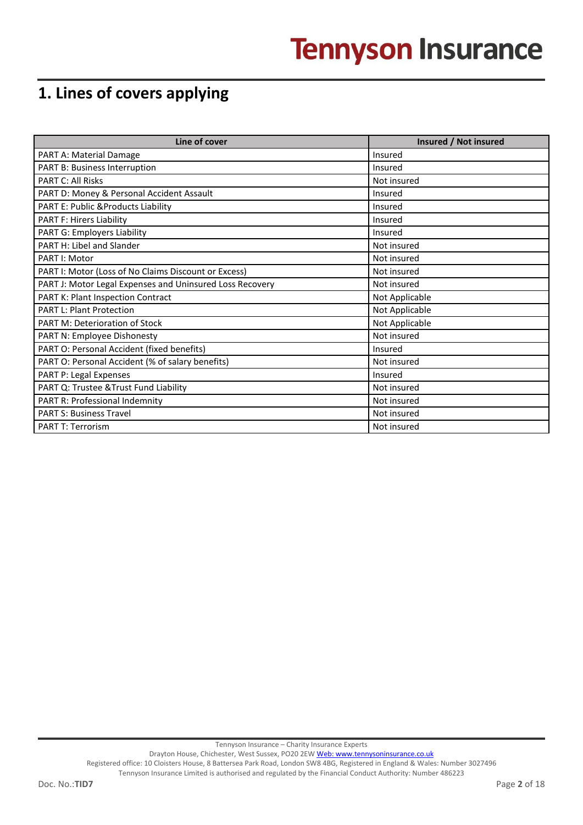## **1. Lines of covers applying**

| Line of cover                                            | Insured / Not insured |
|----------------------------------------------------------|-----------------------|
| PART A: Material Damage                                  | Insured               |
| PART B: Business Interruption                            | Insured               |
| <b>PART C: All Risks</b>                                 | Not insured           |
| PART D: Money & Personal Accident Assault                | Insured               |
| PART E: Public & Products Liability                      | Insured               |
| <b>PART F: Hirers Liability</b>                          | Insured               |
| PART G: Employers Liability                              | Insured               |
| PART H: Libel and Slander                                | Not insured           |
| PART I: Motor                                            | Not insured           |
| PART I: Motor (Loss of No Claims Discount or Excess)     | Not insured           |
| PART J: Motor Legal Expenses and Uninsured Loss Recovery | Not insured           |
| PART K: Plant Inspection Contract                        | Not Applicable        |
| <b>PART L: Plant Protection</b>                          | Not Applicable        |
| <b>PART M: Deterioration of Stock</b>                    | Not Applicable        |
| <b>PART N: Employee Dishonesty</b>                       | Not insured           |
| PART O: Personal Accident (fixed benefits)               | Insured               |
| PART O: Personal Accident (% of salary benefits)         | Not insured           |
| PART P: Legal Expenses                                   | Insured               |
| PART Q: Trustee & Trust Fund Liability                   | Not insured           |
| PART R: Professional Indemnity                           | Not insured           |
| <b>PART S: Business Travel</b>                           | Not insured           |
| <b>PART T: Terrorism</b>                                 | Not insured           |

Tennyson Insurance – Charity Insurance Experts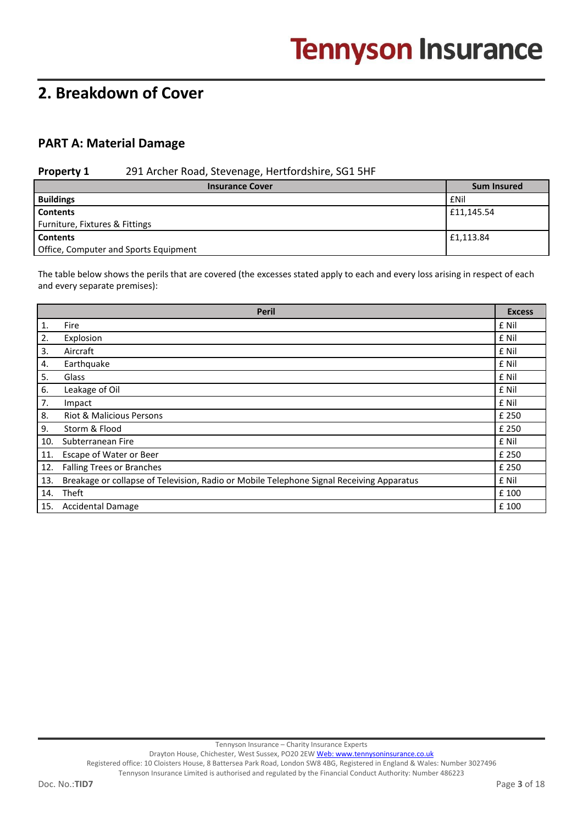## **2. Breakdown of Cover**

## **PART A: Material Damage**

#### **Property 1** 291 Archer Road, Stevenage, Hertfordshire, SG1 5HF

| <b>Insurance Cover</b>                | <b>Sum Insured</b> |
|---------------------------------------|--------------------|
| <b>Buildings</b>                      | <b>f</b> Nil       |
| <b>Contents</b>                       | £11.145.54         |
| Furniture, Fixtures & Fittings        |                    |
| <b>Contents</b>                       | £1,113.84          |
| Office, Computer and Sports Equipment |                    |

The table below shows the perils that are covered (the excesses stated apply to each and every loss arising in respect of each and every separate premises):

|     | <b>Peril</b>                                                                             | <b>Excess</b> |
|-----|------------------------------------------------------------------------------------------|---------------|
| 1.  | Fire                                                                                     | £ Nil         |
| 2.  | Explosion                                                                                | £ Nil         |
| 3.  | Aircraft                                                                                 | £ Nil         |
| 4.  | Earthquake                                                                               | £ Nil         |
| 5.  | Glass                                                                                    | £ Nil         |
| 6.  | Leakage of Oil                                                                           | £ Nil         |
| 7.  | Impact                                                                                   | £ Nil         |
| 8.  | <b>Riot &amp; Malicious Persons</b>                                                      | £ 250         |
| 9.  | Storm & Flood                                                                            | £ 250         |
| 10. | Subterranean Fire                                                                        | £ Nil         |
| 11. | Escape of Water or Beer                                                                  | £ 250         |
| 12. | <b>Falling Trees or Branches</b>                                                         | £ 250         |
| 13. | Breakage or collapse of Television, Radio or Mobile Telephone Signal Receiving Apparatus | £ Nil         |
| 14. | Theft                                                                                    | £ 100         |
| 15. | <b>Accidental Damage</b>                                                                 | £ 100         |

Tennyson Insurance – Charity Insurance Experts

Drayton House, Chichester, West Sussex, PO20 2E[W Web: www.tennysoninsurance.co.uk](../../../../Templates/Complex/footer/Policy%20Schedule_433026431.xml/www.tennysoninsurance.co.uk)

Registered office: 10 Cloisters House, 8 Battersea Park Road, London SW8 4BG, Registered in England & Wales: Number 3027496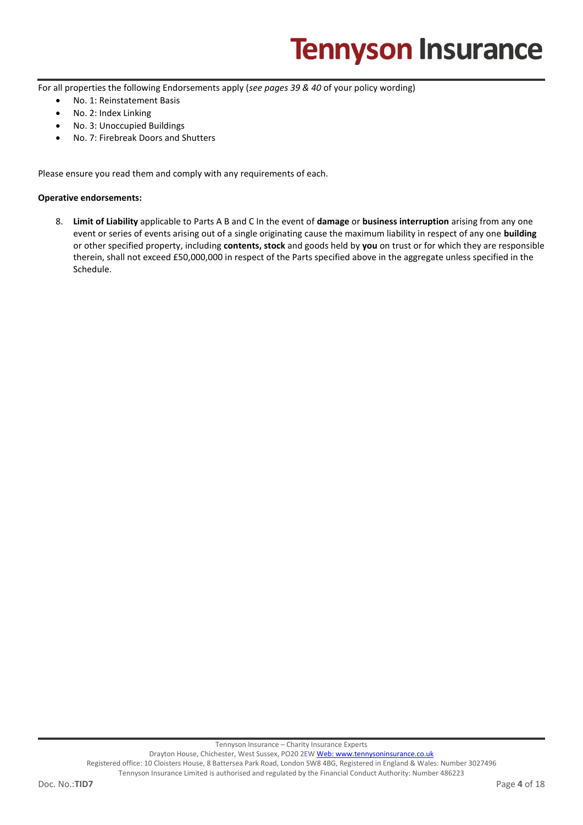For all properties the following Endorsements apply (*see pages 39 & 40* of your policy wording)

- No. 1: Reinstatement Basis
- No. 2: Index Linking
- No. 3: Unoccupied Buildings
- No. 7: Firebreak Doors and Shutters

Please ensure you read them and comply with any requirements of each.

#### **Operative endorsements:**

8. **Limit of Liability** applicable to Parts A B and C In the event of **damage** or **business interruption** arising from any one event or series of events arising out of a single originating cause the maximum liability in respect of any one **building** or other specified property, including **contents, stock** and goods held by **you** on trust or for which they are responsible therein, shall not exceed £50,000,000 in respect of the Parts specified above in the aggregate unless specified in the Schedule.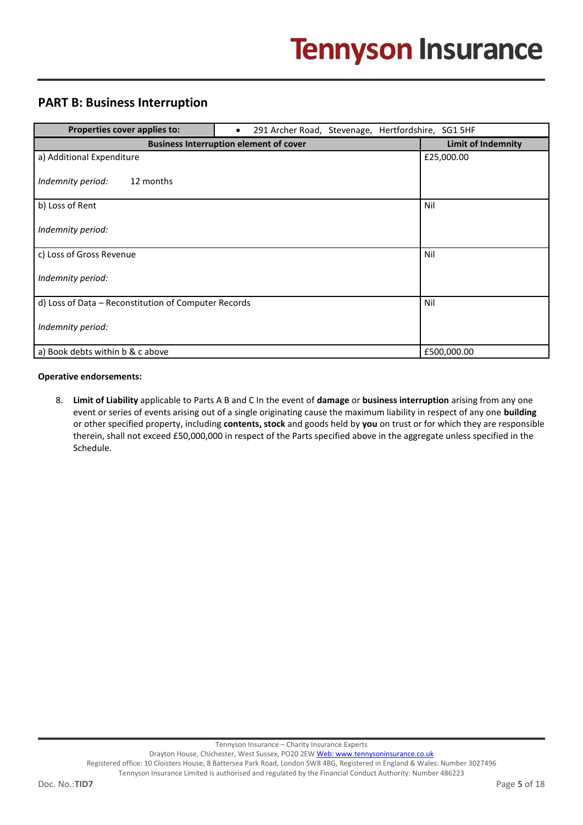## **PART B: Business Interruption**

| Properties cover applies to:                         | 291 Archer Road, Stevenage, Hertfordshire, SG1 5HF<br>$\bullet$ |                           |
|------------------------------------------------------|-----------------------------------------------------------------|---------------------------|
|                                                      | <b>Business Interruption element of cover</b>                   | <b>Limit of Indemnity</b> |
| a) Additional Expenditure                            |                                                                 | £25,000.00                |
| Indemnity period:<br>12 months                       |                                                                 |                           |
| b) Loss of Rent                                      |                                                                 | Nil                       |
| Indemnity period:                                    |                                                                 |                           |
| c) Loss of Gross Revenue                             |                                                                 | Nil                       |
| Indemnity period:                                    |                                                                 |                           |
| d) Loss of Data - Reconstitution of Computer Records |                                                                 | Nil                       |
| Indemnity period:                                    |                                                                 |                           |
| a) Book debts within b & c above                     |                                                                 | £500,000.00               |

#### **Operative endorsements:**

8. **Limit of Liability** applicable to Parts A B and C In the event of **damage** or **business interruption** arising from any one event or series of events arising out of a single originating cause the maximum liability in respect of any one **building** or other specified property, including **contents, stock** and goods held by **you** on trust or for which they are responsible therein, shall not exceed £50,000,000 in respect of the Parts specified above in the aggregate unless specified in the Schedule.

Tennyson Insurance – Charity Insurance Experts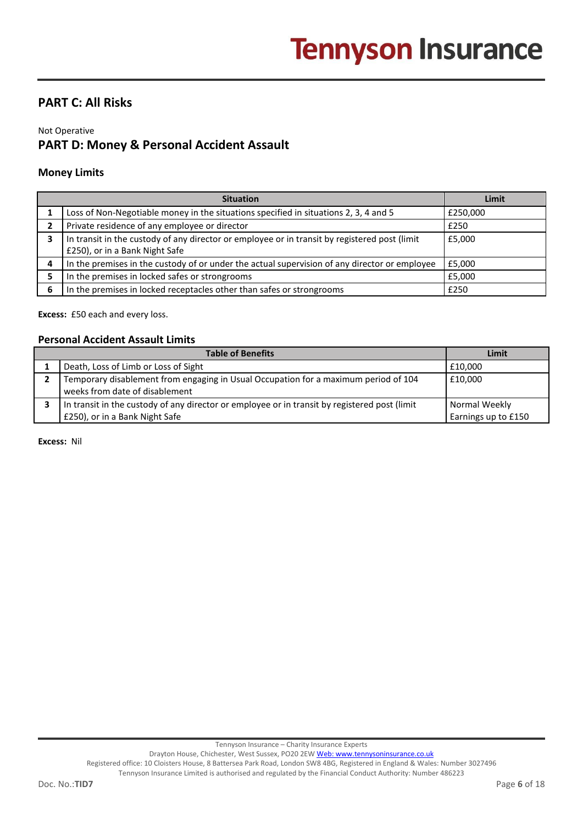## **PART C: All Risks**

#### Not Operative **PART D: Money & Personal Accident Assault**

#### **Money Limits**

|   | <b>Situation</b>                                                                                                                | Limit    |
|---|---------------------------------------------------------------------------------------------------------------------------------|----------|
|   | Loss of Non-Negotiable money in the situations specified in situations 2, 3, 4 and 5                                            | £250,000 |
|   | Private residence of any employee or director                                                                                   | £250     |
|   | In transit in the custody of any director or employee or in transit by registered post (limit<br>£250), or in a Bank Night Safe | £5,000   |
| Δ | In the premises in the custody of or under the actual supervision of any director or employee                                   | £5,000   |
|   | In the premises in locked safes or strongrooms                                                                                  | £5,000   |
| 6 | In the premises in locked receptacles other than safes or strongrooms                                                           | £250     |

**Excess:** £50 each and every loss.

#### **Personal Accident Assault Limits**

| <b>Table of Benefits</b> |                                                                                                                       | Limit               |
|--------------------------|-----------------------------------------------------------------------------------------------------------------------|---------------------|
|                          | Death, Loss of Limb or Loss of Sight                                                                                  | £10.000             |
|                          | Temporary disablement from engaging in Usual Occupation for a maximum period of 104<br>weeks from date of disablement | £10,000             |
|                          | In transit in the custody of any director or employee or in transit by registered post (limit                         | Normal Weekly       |
|                          | £250), or in a Bank Night Safe                                                                                        | Earnings up to £150 |

**Excess:** Nil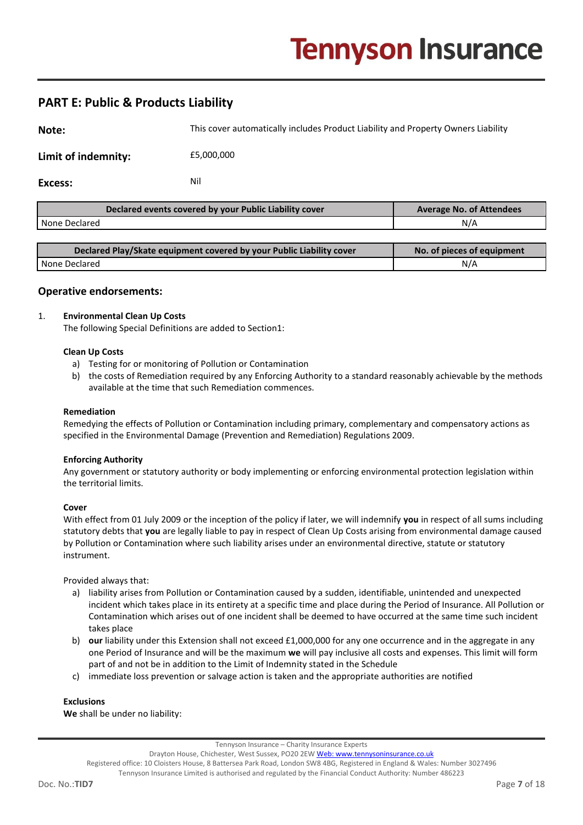## **PART E: Public & Products Liability**

| Note:               | This cover automatically includes Product Liability and Property Owners Liability |  |
|---------------------|-----------------------------------------------------------------------------------|--|
| Limit of indemnity: | £5,000,000                                                                        |  |
| Excess:             | Nil                                                                               |  |

| <b>Average No. of Attendees</b> |
|---------------------------------|
| N/A                             |
|                                 |
|                                 |

| Declared Play/Skate equipment covered by your Public Liability cover | No. of pieces of equipment |
|----------------------------------------------------------------------|----------------------------|
| None Declared                                                        | N/A                        |

#### **Operative endorsements:**

#### 1. **Environmental Clean Up Costs**

The following Special Definitions are added to Section1:

#### **Clean Up Costs**

- a) Testing for or monitoring of Pollution or Contamination
- b) the costs of Remediation required by any Enforcing Authority to a standard reasonably achievable by the methods available at the time that such Remediation commences.

#### **Remediation**

Remedying the effects of Pollution or Contamination including primary, complementary and compensatory actions as specified in the Environmental Damage (Prevention and Remediation) Regulations 2009.

#### **Enforcing Authority**

Any government or statutory authority or body implementing or enforcing environmental protection legislation within the territorial limits.

#### **Cover**

With effect from 01 July 2009 or the inception of the policy if later, we will indemnify **you** in respect of all sums including statutory debts that **you** are legally liable to pay in respect of Clean Up Costs arising from environmental damage caused by Pollution or Contamination where such liability arises under an environmental directive, statute or statutory instrument.

Provided always that:

- a) liability arises from Pollution or Contamination caused by a sudden, identifiable, unintended and unexpected incident which takes place in its entirety at a specific time and place during the Period of Insurance. All Pollution or Contamination which arises out of one incident shall be deemed to have occurred at the same time such incident takes place
- b) **our** liability under this Extension shall not exceed £1,000,000 for any one occurrence and in the aggregate in any one Period of Insurance and will be the maximum **we** will pay inclusive all costs and expenses. This limit will form part of and not be in addition to the Limit of Indemnity stated in the Schedule
- c) immediate loss prevention or salvage action is taken and the appropriate authorities are notified

#### **Exclusions**

**We** shall be under no liability:

Tennyson Insurance – Charity Insurance Experts

Drayton House, Chichester, West Sussex, PO20 2E[W Web: www.tennysoninsurance.co.uk](../../../../Templates/Complex/footer/Policy%20Schedule_433026431.xml/www.tennysoninsurance.co.uk) Registered office: 10 Cloisters House, 8 Battersea Park Road, London SW8 4BG, Registered in England & Wales: Number 3027496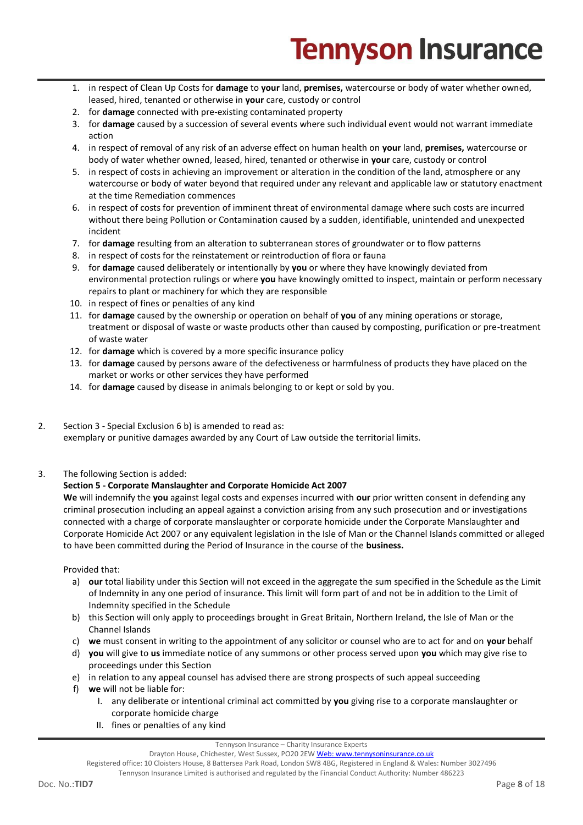- 1. in respect of Clean Up Costs for **damage** to **your** land, **premises,** watercourse or body of water whether owned, leased, hired, tenanted or otherwise in **your** care, custody or control
- 2. for **damage** connected with pre-existing contaminated property
- 3. for **damage** caused by a succession of several events where such individual event would not warrant immediate action
- 4. in respect of removal of any risk of an adverse effect on human health on **your** land, **premises,** watercourse or body of water whether owned, leased, hired, tenanted or otherwise in **your** care, custody or control
- 5. in respect of costs in achieving an improvement or alteration in the condition of the land, atmosphere or any watercourse or body of water beyond that required under any relevant and applicable law or statutory enactment at the time Remediation commences
- 6. in respect of costs for prevention of imminent threat of environmental damage where such costs are incurred without there being Pollution or Contamination caused by a sudden, identifiable, unintended and unexpected incident
- 7. for **damage** resulting from an alteration to subterranean stores of groundwater or to flow patterns
- 8. in respect of costs for the reinstatement or reintroduction of flora or fauna
- 9. for **damage** caused deliberately or intentionally by **you** or where they have knowingly deviated from environmental protection rulings or where **you** have knowingly omitted to inspect, maintain or perform necessary repairs to plant or machinery for which they are responsible
- 10. in respect of fines or penalties of any kind
- 11. for **damage** caused by the ownership or operation on behalf of **you** of any mining operations or storage, treatment or disposal of waste or waste products other than caused by composting, purification or pre-treatment of waste water
- 12. for **damage** which is covered by a more specific insurance policy
- 13. for **damage** caused by persons aware of the defectiveness or harmfulness of products they have placed on the market or works or other services they have performed
- 14. for **damage** caused by disease in animals belonging to or kept or sold by you.
- 2. Section 3 Special Exclusion 6 b) is amended to read as: exemplary or punitive damages awarded by any Court of Law outside the territorial limits.
- 3. The following Section is added:

#### **Section 5 - Corporate Manslaughter and Corporate Homicide Act 2007**

**We** will indemnify the **you** against legal costs and expenses incurred with **our** prior written consent in defending any criminal prosecution including an appeal against a conviction arising from any such prosecution and or investigations connected with a charge of corporate manslaughter or corporate homicide under the Corporate Manslaughter and Corporate Homicide Act 2007 or any equivalent legislation in the Isle of Man or the Channel Islands committed or alleged to have been committed during the Period of Insurance in the course of the **business.**

Provided that:

- a) **our** total liability under this Section will not exceed in the aggregate the sum specified in the Schedule as the Limit of Indemnity in any one period of insurance. This limit will form part of and not be in addition to the Limit of Indemnity specified in the Schedule
- b) this Section will only apply to proceedings brought in Great Britain, Northern Ireland, the Isle of Man or the Channel Islands
- c) **we** must consent in writing to the appointment of any solicitor or counsel who are to act for and on **your** behalf
- d) **you** will give to **us** immediate notice of any summons or other process served upon **you** which may give rise to proceedings under this Section
- e) in relation to any appeal counsel has advised there are strong prospects of such appeal succeeding
- f) **we** will not be liable for:
	- I. any deliberate or intentional criminal act committed by **you** giving rise to a corporate manslaughter or corporate homicide charge
	- II. fines or penalties of any kind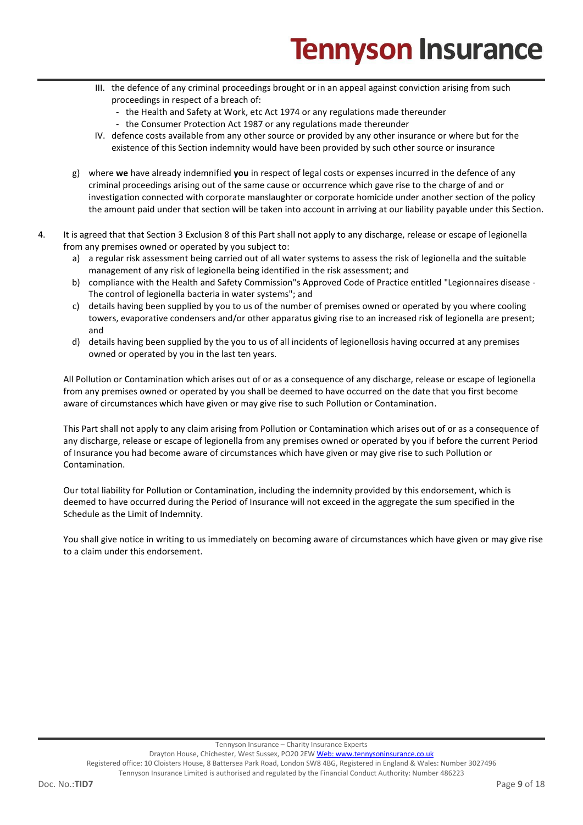- III. the defence of any criminal proceedings brought or in an appeal against conviction arising from such proceedings in respect of a breach of:
	- the Health and Safety at Work, etc Act 1974 or any regulations made thereunder
	- the Consumer Protection Act 1987 or any regulations made thereunder
- IV. defence costs available from any other source or provided by any other insurance or where but for the existence of this Section indemnity would have been provided by such other source or insurance
- g) where **we** have already indemnified **you** in respect of legal costs or expenses incurred in the defence of any criminal proceedings arising out of the same cause or occurrence which gave rise to the charge of and or investigation connected with corporate manslaughter or corporate homicide under another section of the policy the amount paid under that section will be taken into account in arriving at our liability payable under this Section.
- 4. It is agreed that that Section 3 Exclusion 8 of this Part shall not apply to any discharge, release or escape of legionella from any premises owned or operated by you subject to:
	- a) a regular risk assessment being carried out of all water systems to assess the risk of legionella and the suitable management of any risk of legionella being identified in the risk assessment; and
	- b) compliance with the Health and Safety Commission"s Approved Code of Practice entitled "Legionnaires disease The control of legionella bacteria in water systems"; and
	- c) details having been supplied by you to us of the number of premises owned or operated by you where cooling towers, evaporative condensers and/or other apparatus giving rise to an increased risk of legionella are present; and
	- d) details having been supplied by the you to us of all incidents of legionellosis having occurred at any premises owned or operated by you in the last ten years.

All Pollution or Contamination which arises out of or as a consequence of any discharge, release or escape of legionella from any premises owned or operated by you shall be deemed to have occurred on the date that you first become aware of circumstances which have given or may give rise to such Pollution or Contamination.

This Part shall not apply to any claim arising from Pollution or Contamination which arises out of or as a consequence of any discharge, release or escape of legionella from any premises owned or operated by you if before the current Period of Insurance you had become aware of circumstances which have given or may give rise to such Pollution or Contamination.

Our total liability for Pollution or Contamination, including the indemnity provided by this endorsement, which is deemed to have occurred during the Period of Insurance will not exceed in the aggregate the sum specified in the Schedule as the Limit of Indemnity.

You shall give notice in writing to us immediately on becoming aware of circumstances which have given or may give rise to a claim under this endorsement.

Tennyson Insurance – Charity Insurance Experts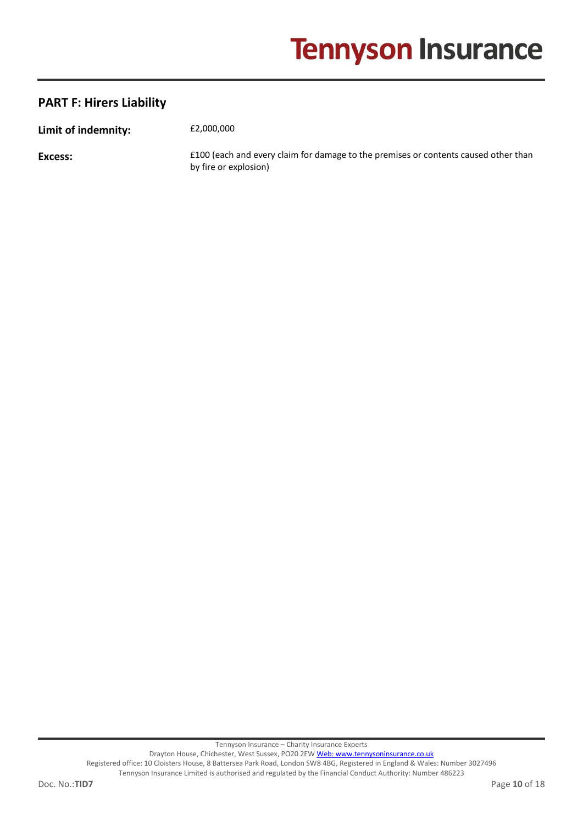## **PART F: Hirers Liability**

**Limit of indemnity:**  $£2,000,000$ 

**Excess: E100** (each and every claim for damage to the premises or contents caused other than by fire or explosion)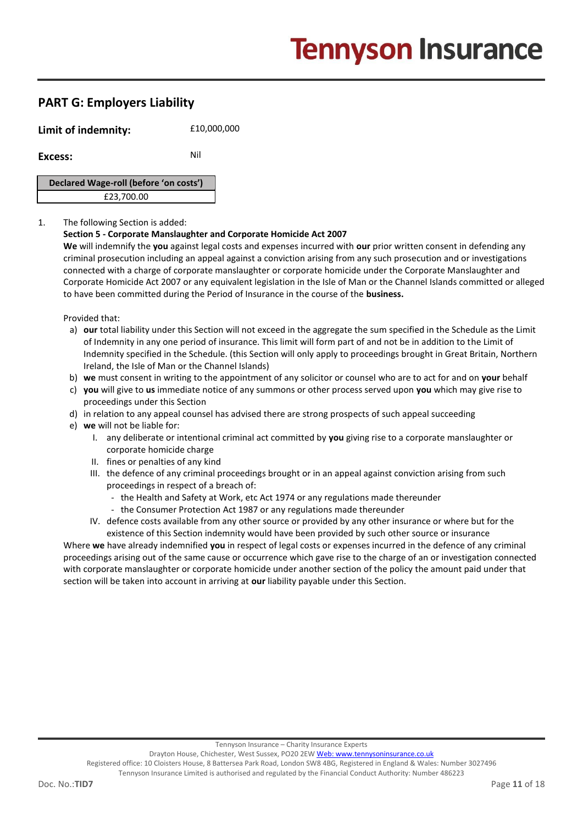## **PART G: Employers Liability**

**Limit of indemnity:**  $f10,000,000$ 

**Excess:** Nil

**Declared Wage-roll (before 'on costs')** £23,700.00

#### 1. The following Section is added:

#### **Section 5 - Corporate Manslaughter and Corporate Homicide Act 2007**

**We** will indemnify the **you** against legal costs and expenses incurred with **our** prior written consent in defending any criminal prosecution including an appeal against a conviction arising from any such prosecution and or investigations connected with a charge of corporate manslaughter or corporate homicide under the Corporate Manslaughter and Corporate Homicide Act 2007 or any equivalent legislation in the Isle of Man or the Channel Islands committed or alleged to have been committed during the Period of Insurance in the course of the **business.**

Provided that:

- a) **our** total liability under this Section will not exceed in the aggregate the sum specified in the Schedule as the Limit of Indemnity in any one period of insurance. This limit will form part of and not be in addition to the Limit of Indemnity specified in the Schedule. (this Section will only apply to proceedings brought in Great Britain, Northern Ireland, the Isle of Man or the Channel Islands)
- b) **we** must consent in writing to the appointment of any solicitor or counsel who are to act for and on **your** behalf
- c) **you** will give to **us** immediate notice of any summons or other process served upon **you** which may give rise to proceedings under this Section
- d) in relation to any appeal counsel has advised there are strong prospects of such appeal succeeding
- e) **we** will not be liable for:
	- I. any deliberate or intentional criminal act committed by **you** giving rise to a corporate manslaughter or corporate homicide charge
	- II. fines or penalties of any kind
	- III. the defence of any criminal proceedings brought or in an appeal against conviction arising from such proceedings in respect of a breach of:
		- the Health and Safety at Work, etc Act 1974 or any regulations made thereunder
		- the Consumer Protection Act 1987 or any regulations made thereunder
	- IV. defence costs available from any other source or provided by any other insurance or where but for the existence of this Section indemnity would have been provided by such other source or insurance

Where **we** have already indemnified **you** in respect of legal costs or expenses incurred in the defence of any criminal proceedings arising out of the same cause or occurrence which gave rise to the charge of an or investigation connected with corporate manslaughter or corporate homicide under another section of the policy the amount paid under that section will be taken into account in arriving at **our** liability payable under this Section.

Registered office: 10 Cloisters House, 8 Battersea Park Road, London SW8 4BG, Registered in England & Wales: Number 3027496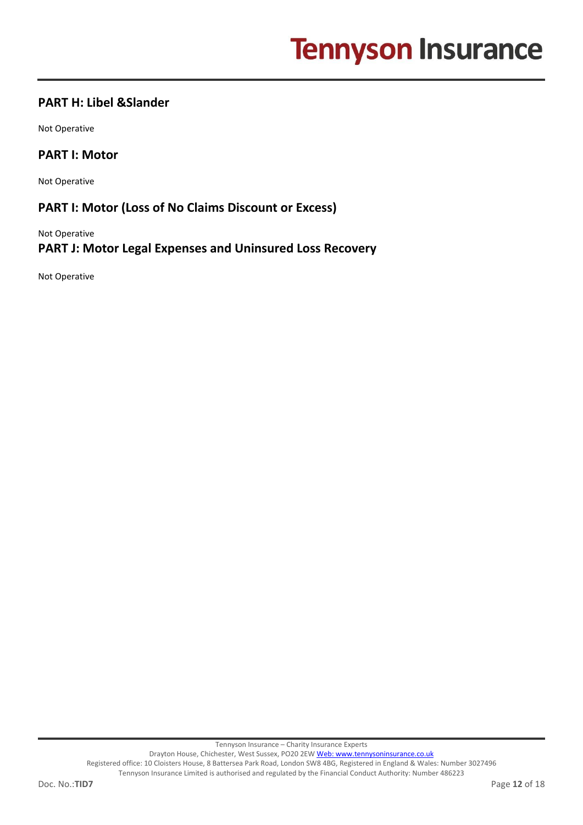## **PART H: Libel &Slander**

Not Operative

### **PART I: Motor**

Not Operative

## **PART I: Motor (Loss of No Claims Discount or Excess)**

Not Operative **PART J: Motor Legal Expenses and Uninsured Loss Recovery** 

Not Operative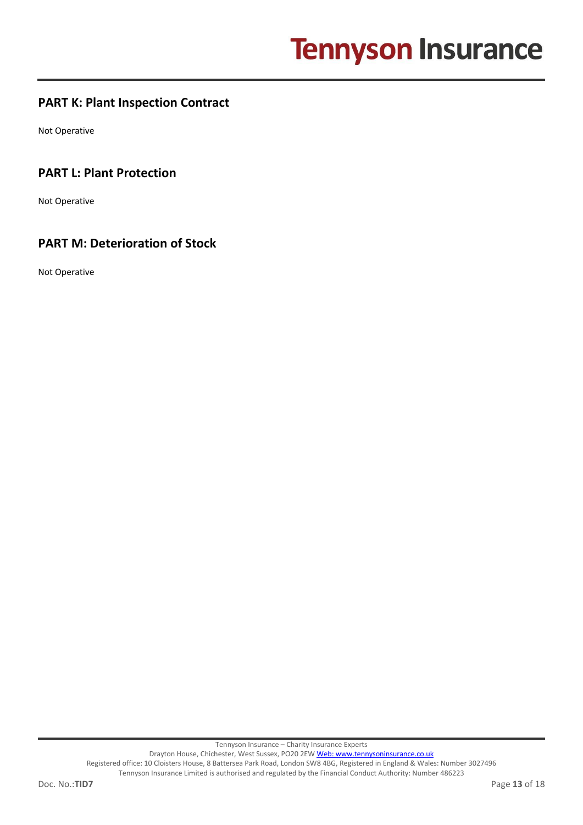## **PART K: Plant Inspection Contract**

Not Operative

## **PART L: Plant Protection**

Not Operative

## **PART M: Deterioration of Stock**

Not Operative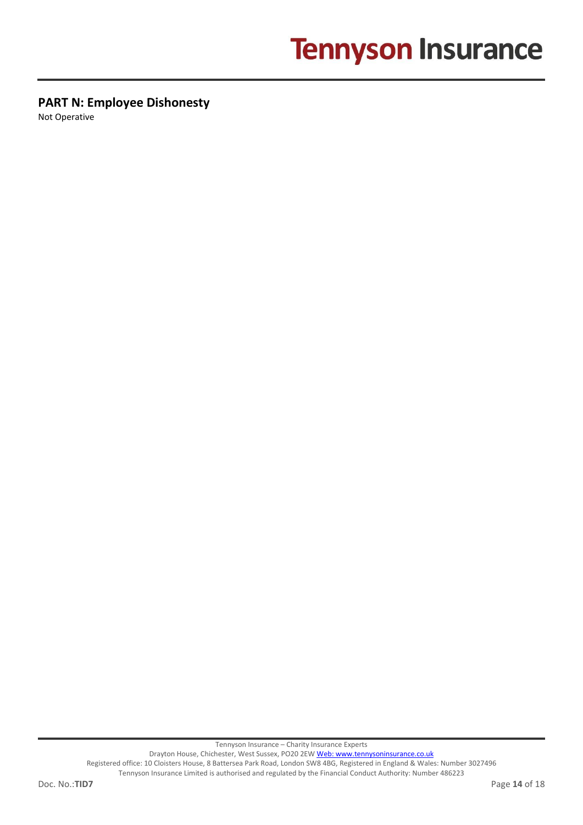## **PART N: Employee Dishonesty**

Not Operative

Tennyson Insurance – Charity Insurance Experts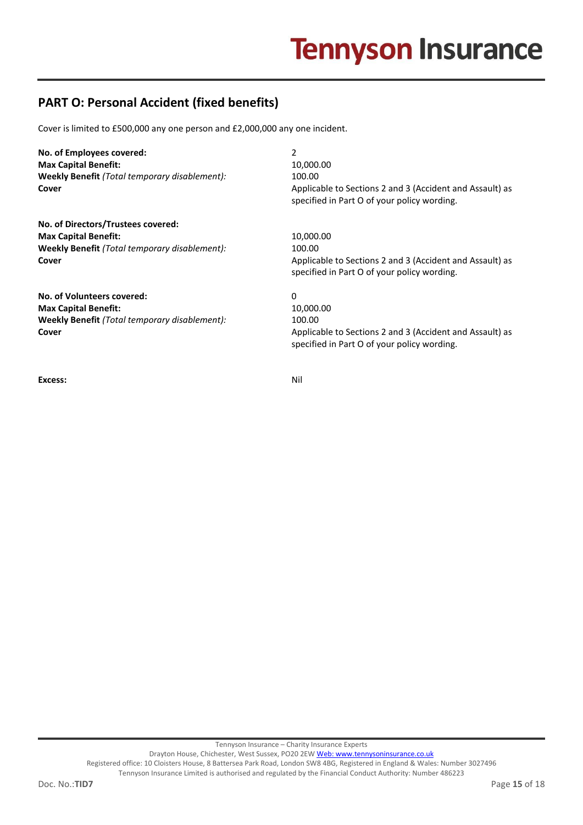## **PART O: Personal Accident (fixed benefits)**

Cover is limited to £500,000 any one person and £2,000,000 any one incident.

| No. of Employees covered:                     | 2                                                                                                       |
|-----------------------------------------------|---------------------------------------------------------------------------------------------------------|
| <b>Max Capital Benefit:</b>                   | 10,000.00                                                                                               |
| Weekly Benefit (Total temporary disablement): | 100.00                                                                                                  |
| Cover                                         | Applicable to Sections 2 and 3 (Accident and Assault) as<br>specified in Part O of your policy wording. |
| No. of Directors/Trustees covered:            |                                                                                                         |
| <b>Max Capital Benefit:</b>                   | 10,000.00                                                                                               |
| Weekly Benefit (Total temporary disablement): | 100.00                                                                                                  |
| Cover                                         | Applicable to Sections 2 and 3 (Accident and Assault) as<br>specified in Part O of your policy wording. |
| No. of Volunteers covered:                    | 0                                                                                                       |
| <b>Max Capital Benefit:</b>                   | 10,000.00                                                                                               |
| Weekly Benefit (Total temporary disablement): | 100.00                                                                                                  |
| Cover                                         | Applicable to Sections 2 and 3 (Accident and Assault) as<br>specified in Part O of your policy wording. |
|                                               |                                                                                                         |

**Excess:** Nil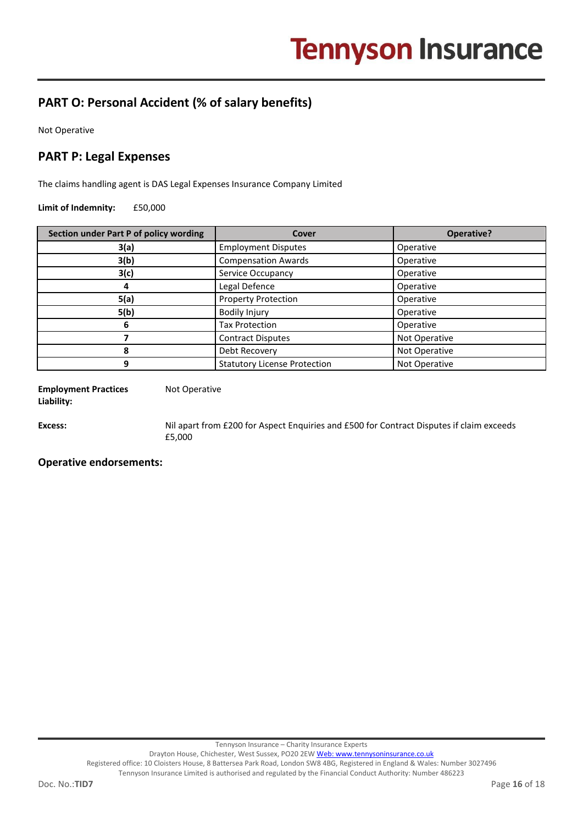## **PART O: Personal Accident (% of salary benefits)**

Not Operative

## **PART P: Legal Expenses**

The claims handling agent is DAS Legal Expenses Insurance Company Limited

**Limit of Indemnity:** £50,000

| Section under Part P of policy wording | Cover                               | Operative?    |
|----------------------------------------|-------------------------------------|---------------|
| 3(a)                                   | <b>Employment Disputes</b>          | Operative     |
| 3(b)                                   | <b>Compensation Awards</b>          | Operative     |
| 3(c)                                   | Service Occupancy                   | Operative     |
|                                        | Legal Defence                       | Operative     |
| 5(a)                                   | <b>Property Protection</b>          | Operative     |
| 5(b)                                   | <b>Bodily Injury</b>                | Operative     |
| 6                                      | <b>Tax Protection</b>               | Operative     |
|                                        | <b>Contract Disputes</b>            | Not Operative |
| 8                                      | Debt Recovery                       | Not Operative |
|                                        | <b>Statutory License Protection</b> | Not Operative |

**Employment Practices Liability:**

Not Operative

**Excess:** Nil apart from £200 for Aspect Enquiries and £500 for Contract Disputes if claim exceeds £5,000

#### **Operative endorsements:**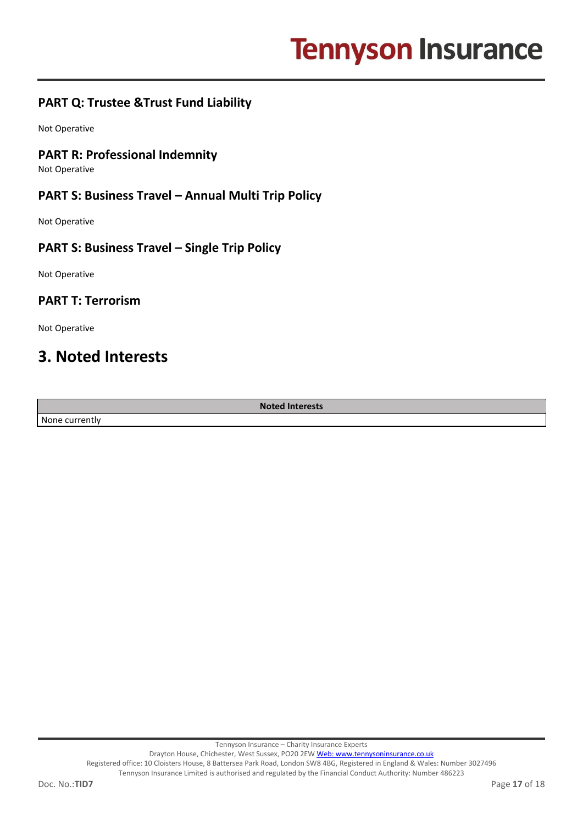## **PART Q: Trustee &Trust Fund Liability**

Not Operative

### **PART R: Professional Indemnity**

Not Operative

### **PART S: Business Travel – Annual Multi Trip Policy**

Not Operative

### **PART S: Business Travel – Single Trip Policy**

Not Operative

### **PART T: Terrorism**

Not Operative

## **3. Noted Interests**

None currently

**Noted Interests**